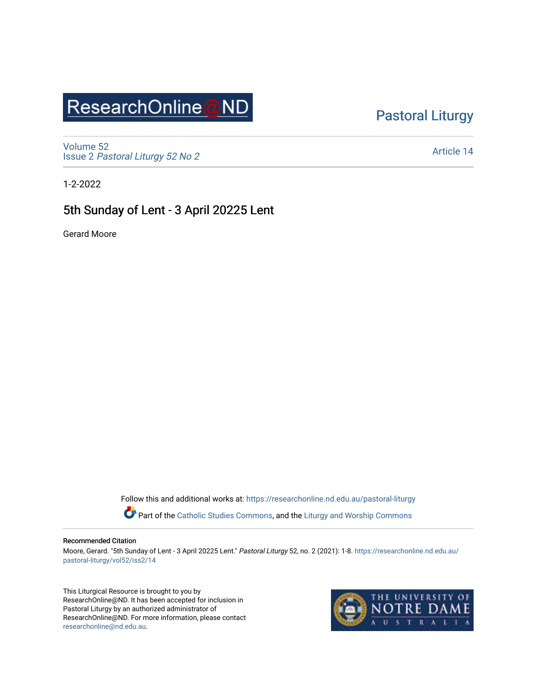## ResearchOnline@ND

### [Pastoral Liturgy](https://researchonline.nd.edu.au/pastoral-liturgy)

[Volume 52](https://researchonline.nd.edu.au/pastoral-liturgy/vol52) Issue 2 [Pastoral Liturgy 52 No 2](https://researchonline.nd.edu.au/pastoral-liturgy/vol52/iss2)

[Article 14](https://researchonline.nd.edu.au/pastoral-liturgy/vol52/iss2/14) 

1-2-2022

### 5th Sunday of Lent - 3 April 20225 Lent

Gerard Moore

Follow this and additional works at: [https://researchonline.nd.edu.au/pastoral-liturgy](https://researchonline.nd.edu.au/pastoral-liturgy?utm_source=researchonline.nd.edu.au%2Fpastoral-liturgy%2Fvol52%2Fiss2%2F14&utm_medium=PDF&utm_campaign=PDFCoverPages)

Part of the [Catholic Studies Commons,](http://network.bepress.com/hgg/discipline/1294?utm_source=researchonline.nd.edu.au%2Fpastoral-liturgy%2Fvol52%2Fiss2%2F14&utm_medium=PDF&utm_campaign=PDFCoverPages) and the Liturgy and Worship Commons

#### Recommended Citation

Moore, Gerard. "5th Sunday of Lent - 3 April 20225 Lent." Pastoral Liturgy 52, no. 2 (2021): 1-8. [https://researchonline.nd.edu.au/](https://researchonline.nd.edu.au/pastoral-liturgy/vol52/iss2/14?utm_source=researchonline.nd.edu.au%2Fpastoral-liturgy%2Fvol52%2Fiss2%2F14&utm_medium=PDF&utm_campaign=PDFCoverPages) [pastoral-liturgy/vol52/iss2/14](https://researchonline.nd.edu.au/pastoral-liturgy/vol52/iss2/14?utm_source=researchonline.nd.edu.au%2Fpastoral-liturgy%2Fvol52%2Fiss2%2F14&utm_medium=PDF&utm_campaign=PDFCoverPages) 

This Liturgical Resource is brought to you by ResearchOnline@ND. It has been accepted for inclusion in Pastoral Liturgy by an authorized administrator of ResearchOnline@ND. For more information, please contact [researchonline@nd.edu.au.](mailto:researchonline@nd.edu.au)

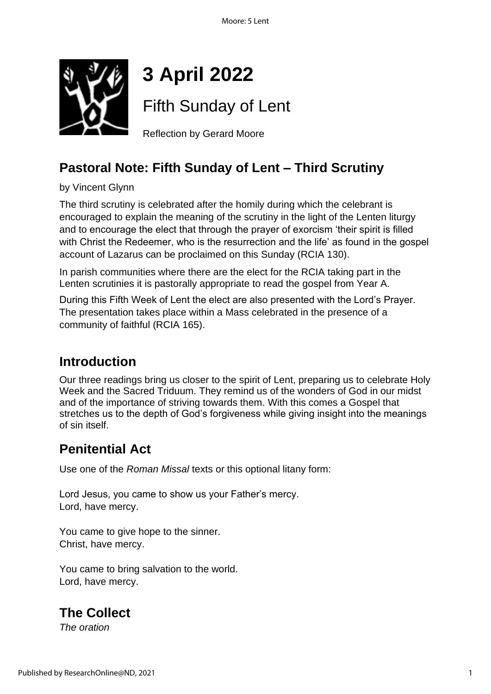

# **3 April 2022**

Fifth Sunday of Lent

Reflection by Gerard Moore

### **Pastoral Note: Fifth Sunday of Lent – Third Scrutiny**

by Vincent Glynn

The third scrutiny is celebrated after the homily during which the celebrant is encouraged to explain the meaning of the scrutiny in the light of the Lenten liturgy and to encourage the elect that through the prayer of exorcism 'their spirit is filled with Christ the Redeemer, who is the resurrection and the life' as found in the gospel account of Lazarus can be proclaimed on this Sunday (RCIA 130).

In parish communities where there are the elect for the RCIA taking part in the Lenten scrutinies it is pastorally appropriate to read the gospel from Year A.

During this Fifth Week of Lent the elect are also presented with the Lord's Prayer. The presentation takes place within a Mass celebrated in the presence of a community of faithful (RCIA 165).

### **Introduction**

Our three readings bring us closer to the spirit of Lent, preparing us to celebrate Holy Week and the Sacred Triduum. They remind us of the wonders of God in our midst and of the importance of striving towards them. With this comes a Gospel that stretches us to the depth of God's forgiveness while giving insight into the meanings of sin itself.

### **Penitential Act**

Use one of the *Roman Missal* texts or this optional litany form:

Lord Jesus, you came to show us your Father's mercy. Lord, have mercy.

You came to give hope to the sinner. Christ, have mercy.

You came to bring salvation to the world. Lord, have mercy.

### **The Collect**

*The oration*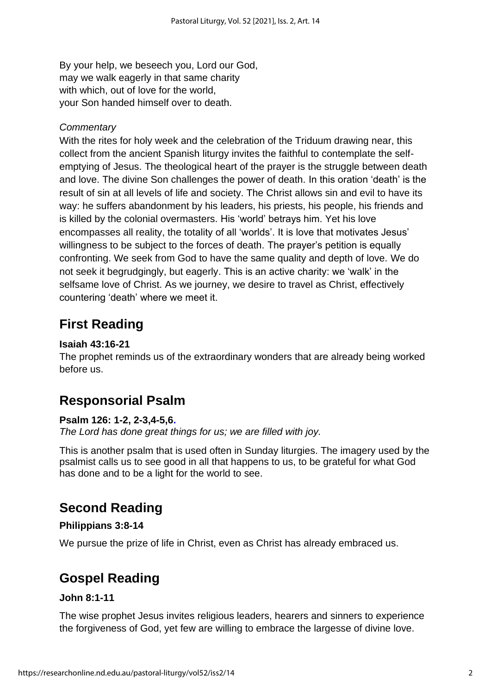By your help, we beseech you, Lord our God, may we walk eagerly in that same charity with which, out of love for the world, your Son handed himself over to death.

#### *Commentary*

With the rites for holy week and the celebration of the Triduum drawing near, this collect from the ancient Spanish liturgy invites the faithful to contemplate the selfemptying of Jesus. The theological heart of the prayer is the struggle between death and love. The divine Son challenges the power of death. In this oration 'death' is the result of sin at all levels of life and society. The Christ allows sin and evil to have its way: he suffers abandonment by his leaders, his priests, his people, his friends and is killed by the colonial overmasters. His 'world' betrays him. Yet his love encompasses all reality, the totality of all 'worlds'. It is love that motivates Jesus' willingness to be subject to the forces of death. The prayer's petition is equally confronting. We seek from God to have the same quality and depth of love. We do not seek it begrudgingly, but eagerly. This is an active charity: we 'walk' in the selfsame love of Christ. As we journey, we desire to travel as Christ, effectively countering 'death' where we meet it.

### **First Reading**

#### **Isaiah 43:16-21**

The prophet reminds us of the extraordinary wonders that are already being worked before us.

### **Responsorial Psalm**

#### **Psalm 126: 1-2, 2-3,4-5,[6.](https://bible.usccb.org/bible/psalms/126?1)**

*The Lord has done great things for us; we are filled with joy.*

This is another psalm that is used often in Sunday liturgies. The imagery used by the psalmist calls us to see good in all that happens to us, to be grateful for what God has done and to be a light for the world to see.

### **Second Reading**

#### **Philippians 3:8-14**

We pursue the prize of life in Christ, even as Christ has already embraced us.

### **Gospel Reading**

#### **John 8:1-11**

The wise prophet Jesus invites religious leaders, hearers and sinners to experience the forgiveness of God, yet few are willing to embrace the largesse of divine love.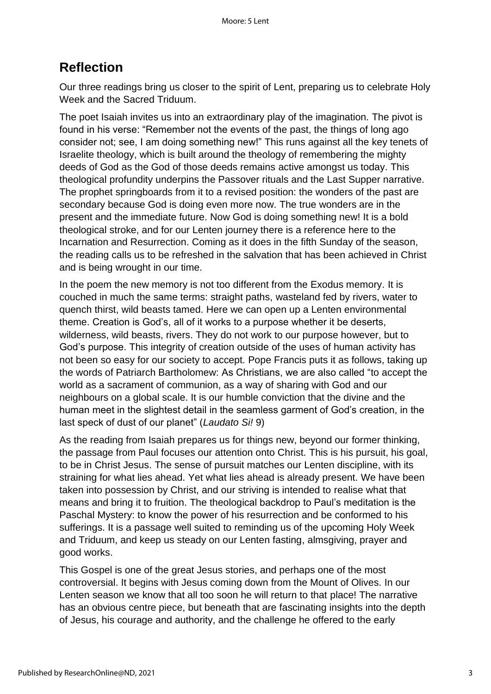### **Reflection**

Our three readings bring us closer to the spirit of Lent, preparing us to celebrate Holy Week and the Sacred Triduum.

The poet Isaiah invites us into an extraordinary play of the imagination. The pivot is found in his verse: "Remember not the events of the past, the things of long ago consider not; see, I am doing something new!" This runs against all the key tenets of Israelite theology, which is built around the theology of remembering the mighty deeds of God as the God of those deeds remains active amongst us today. This theological profundity underpins the Passover rituals and the Last Supper narrative. The prophet springboards from it to a revised position: the wonders of the past are secondary because God is doing even more now. The true wonders are in the present and the immediate future. Now God is doing something new! It is a bold theological stroke, and for our Lenten journey there is a reference here to the Incarnation and Resurrection. Coming as it does in the fifth Sunday of the season, the reading calls us to be refreshed in the salvation that has been achieved in Christ and is being wrought in our time.

In the poem the new memory is not too different from the Exodus memory. It is couched in much the same terms: straight paths, wasteland fed by rivers, water to quench thirst, wild beasts tamed. Here we can open up a Lenten environmental theme. Creation is God's, all of it works to a purpose whether it be deserts, wilderness, wild beasts, rivers. They do not work to our purpose however, but to God's purpose. This integrity of creation outside of the uses of human activity has not been so easy for our society to accept. Pope Francis puts it as follows, taking up the words of Patriarch Bartholomew: As Christians, we are also called "to accept the world as a sacrament of communion, as a way of sharing with God and our neighbours on a global scale. It is our humble conviction that the divine and the human meet in the slightest detail in the seamless garment of God's creation, in the last speck of dust of our planet" (*Laudato Si!* 9)

As the reading from Isaiah prepares us for things new, beyond our former thinking, the passage from Paul focuses our attention onto Christ. This is his pursuit, his goal, to be in Christ Jesus. The sense of pursuit matches our Lenten discipline, with its straining for what lies ahead. Yet what lies ahead is already present. We have been taken into possession by Christ, and our striving is intended to realise what that means and bring it to fruition. The theological backdrop to Paul's meditation is the Paschal Mystery: to know the power of his resurrection and be conformed to his sufferings. It is a passage well suited to reminding us of the upcoming Holy Week and Triduum, and keep us steady on our Lenten fasting, almsgiving, prayer and good works.

This Gospel is one of the great Jesus stories, and perhaps one of the most controversial. It begins with Jesus coming down from the Mount of Olives. In our Lenten season we know that all too soon he will return to that place! The narrative has an obvious centre piece, but beneath that are fascinating insights into the depth of Jesus, his courage and authority, and the challenge he offered to the early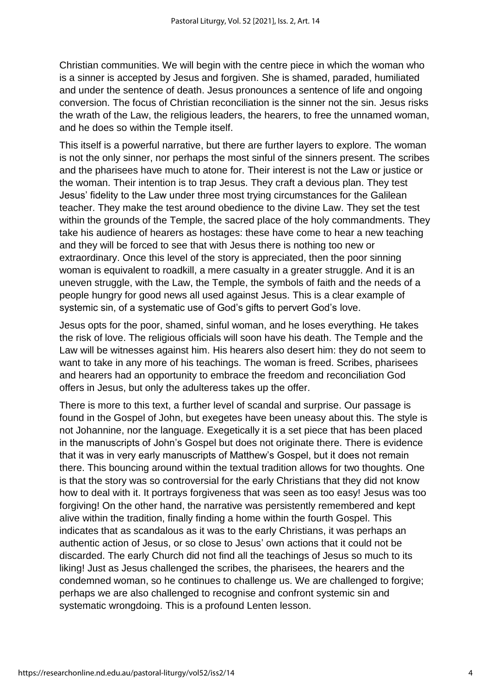Christian communities. We will begin with the centre piece in which the woman who is a sinner is accepted by Jesus and forgiven. She is shamed, paraded, humiliated and under the sentence of death. Jesus pronounces a sentence of life and ongoing conversion. The focus of Christian reconciliation is the sinner not the sin. Jesus risks the wrath of the Law, the religious leaders, the hearers, to free the unnamed woman, and he does so within the Temple itself.

This itself is a powerful narrative, but there are further layers to explore. The woman is not the only sinner, nor perhaps the most sinful of the sinners present. The scribes and the pharisees have much to atone for. Their interest is not the Law or justice or the woman. Their intention is to trap Jesus. They craft a devious plan. They test Jesus' fidelity to the Law under three most trying circumstances for the Galilean teacher. They make the test around obedience to the divine Law. They set the test within the grounds of the Temple, the sacred place of the holy commandments. They take his audience of hearers as hostages: these have come to hear a new teaching and they will be forced to see that with Jesus there is nothing too new or extraordinary. Once this level of the story is appreciated, then the poor sinning woman is equivalent to roadkill, a mere casualty in a greater struggle. And it is an uneven struggle, with the Law, the Temple, the symbols of faith and the needs of a people hungry for good news all used against Jesus. This is a clear example of systemic sin, of a systematic use of God's gifts to pervert God's love.

Jesus opts for the poor, shamed, sinful woman, and he loses everything. He takes the risk of love. The religious officials will soon have his death. The Temple and the Law will be witnesses against him. His hearers also desert him: they do not seem to want to take in any more of his teachings. The woman is freed. Scribes, pharisees and hearers had an opportunity to embrace the freedom and reconciliation God offers in Jesus, but only the adulteress takes up the offer.

There is more to this text, a further level of scandal and surprise. Our passage is found in the Gospel of John, but exegetes have been uneasy about this. The style is not Johannine, nor the language. Exegetically it is a set piece that has been placed in the manuscripts of John's Gospel but does not originate there. There is evidence that it was in very early manuscripts of Matthew's Gospel, but it does not remain there. This bouncing around within the textual tradition allows for two thoughts. One is that the story was so controversial for the early Christians that they did not know how to deal with it. It portrays forgiveness that was seen as too easy! Jesus was too forgiving! On the other hand, the narrative was persistently remembered and kept alive within the tradition, finally finding a home within the fourth Gospel. This indicates that as scandalous as it was to the early Christians, it was perhaps an authentic action of Jesus, or so close to Jesus' own actions that it could not be discarded. The early Church did not find all the teachings of Jesus so much to its liking! Just as Jesus challenged the scribes, the pharisees, the hearers and the condemned woman, so he continues to challenge us. We are challenged to forgive; perhaps we are also challenged to recognise and confront systemic sin and systematic wrongdoing. This is a profound Lenten lesson.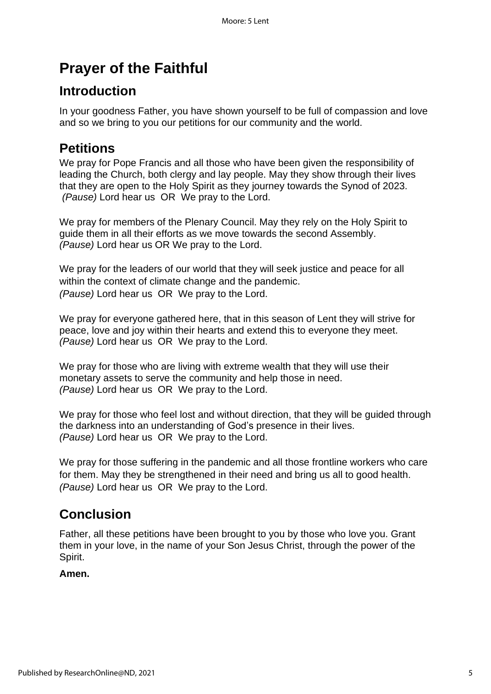## **Prayer of the Faithful**

### **Introduction**

In your goodness Father, you have shown yourself to be full of compassion and love and so we bring to you our petitions for our community and the world.

### **Petitions**

We pray for Pope Francis and all those who have been given the responsibility of leading the Church, both clergy and lay people. May they show through their lives that they are open to the Holy Spirit as they journey towards the Synod of 2023. *(Pause)* Lord hear us OR We pray to the Lord.

We pray for members of the Plenary Council. May they rely on the Holy Spirit to guide them in all their efforts as we move towards the second Assembly. *(Pause)* Lord hear us OR We pray to the Lord.

We pray for the leaders of our world that they will seek justice and peace for all within the context of climate change and the pandemic. *(Pause)* Lord hear us OR We pray to the Lord.

We pray for everyone gathered here, that in this season of Lent they will strive for peace, love and joy within their hearts and extend this to everyone they meet. *(Pause)* Lord hear us OR We pray to the Lord.

We pray for those who are living with extreme wealth that they will use their monetary assets to serve the community and help those in need. *(Pause)* Lord hear us OR We pray to the Lord.

We pray for those who feel lost and without direction, that they will be guided through the darkness into an understanding of God's presence in their lives. *(Pause)* Lord hear us OR We pray to the Lord.

We pray for those suffering in the pandemic and all those frontline workers who care for them. May they be strengthened in their need and bring us all to good health. *(Pause)* Lord hear us OR We pray to the Lord.

### **Conclusion**

Father, all these petitions have been brought to you by those who love you. Grant them in your love, in the name of your Son Jesus Christ, through the power of the Spirit.

#### **Amen.**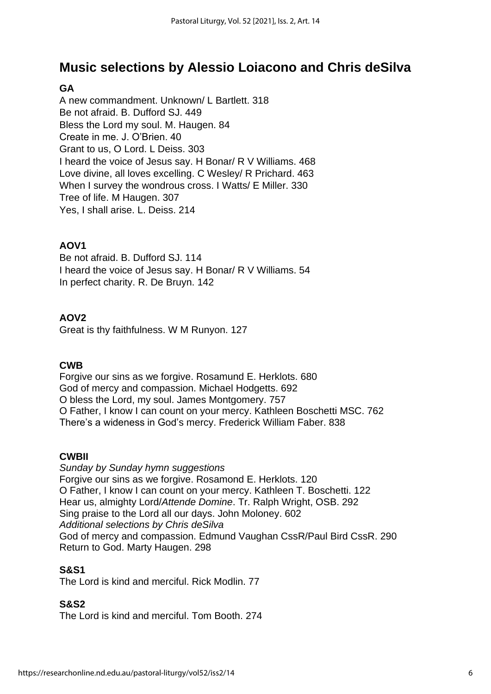### **Music selections by Alessio Loiacono and Chris deSilva**

#### **GA**

A new commandment. Unknown/ L Bartlett. 318 Be not afraid. B. Dufford SJ. 449 Bless the Lord my soul. M. Haugen. 84 Create in me. J. O'Brien. 40 Grant to us, O Lord. L Deiss. 303 I heard the voice of Jesus say. H Bonar/ R V Williams. 468 Love divine, all loves excelling. C Wesley/ R Prichard. 463 When I survey the wondrous cross. I Watts/ E Miller. 330 Tree of life. M Haugen. 307 Yes, I shall arise. L. Deiss. 214

#### **AOV1**

Be not afraid. B. Dufford SJ. 114 I heard the voice of Jesus say. H Bonar/ R V Williams. 54 In perfect charity. R. De Bruyn. 142

#### **AOV2**

Great is thy faithfulness. W M Runyon. 127

#### **CWB**

Forgive our sins as we forgive. Rosamund E. Herklots. 680 God of mercy and compassion. Michael Hodgetts. 692 O bless the Lord, my soul. James Montgomery. 757 O Father, I know I can count on your mercy. Kathleen Boschetti MSC. 762 There's a wideness in God's mercy. Frederick William Faber. 838

#### **CWBII**

*Sunday by Sunday hymn suggestions* Forgive our sins as we forgive. Rosamond E. Herklots. 120 O Father, I know I can count on your mercy. Kathleen T. Boschetti. 122 Hear us, almighty Lord/*Attende Domine*. Tr. Ralph Wright, OSB. 292 Sing praise to the Lord all our days. John Moloney. 602 *Additional selections by Chris deSilva* God of mercy and compassion. Edmund Vaughan CssR/Paul Bird CssR. 290 Return to God. Marty Haugen. 298

#### **S&S1**

The Lord is kind and merciful. Rick Modlin. 77

#### **S&S2**

The Lord is kind and merciful. Tom Booth. 274